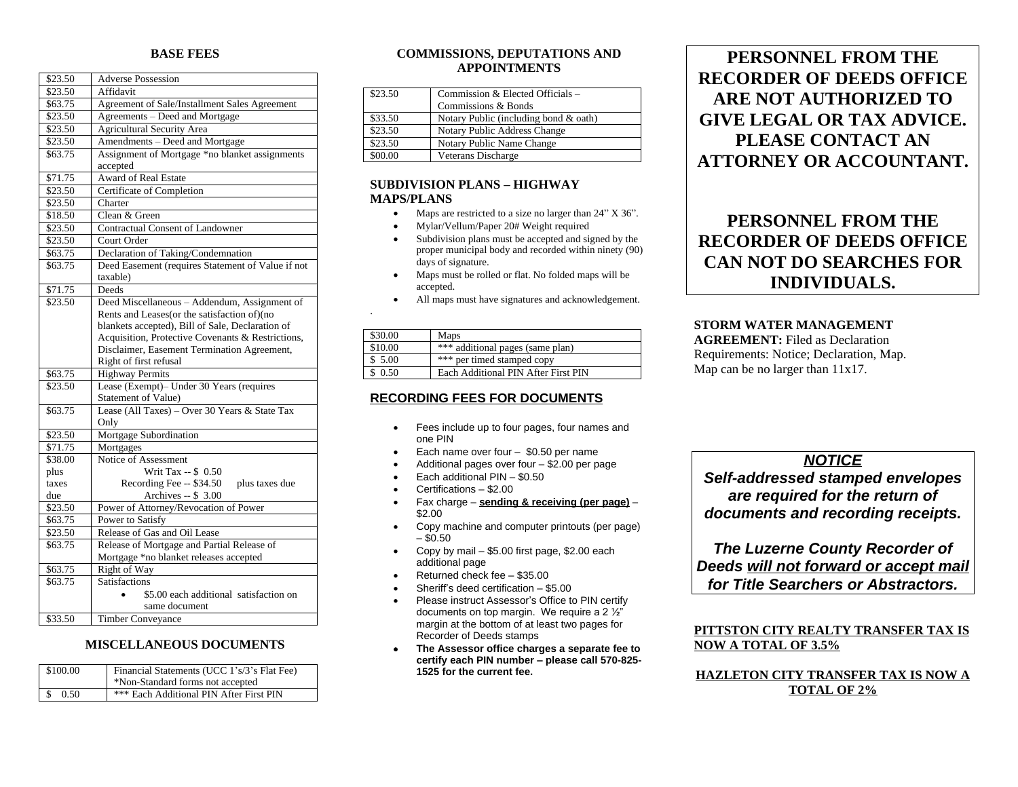### **BASE FEES**

| \$23.50 | <b>Adverse Possession</b>                         |
|---------|---------------------------------------------------|
| \$23.50 | Affidavit                                         |
| \$63.75 | Agreement of Sale/Installment Sales Agreement     |
| \$23.50 | Agreements - Deed and Mortgage                    |
| \$23.50 | <b>Agricultural Security Area</b>                 |
| \$23.50 | Amendments - Deed and Mortgage                    |
| \$63.75 | Assignment of Mortgage *no blanket assignments    |
|         | accepted                                          |
| \$71.75 | <b>Award of Real Estate</b>                       |
| \$23.50 | Certificate of Completion                         |
| \$23.50 | Charter                                           |
| \$18.50 | Clean & Green                                     |
| \$23.50 | <b>Contractual Consent of Landowner</b>           |
| \$23.50 | Court Order                                       |
| \$63.75 | Declaration of Taking/Condemnation                |
| \$63.75 | Deed Easement (requires Statement of Value if not |
|         | taxable)                                          |
| \$71.75 | Deeds                                             |
| \$23.50 | Deed Miscellaneous - Addendum, Assignment of      |
|         | Rents and Leases(or the satisfaction of)(no       |
|         | blankets accepted), Bill of Sale, Declaration of  |
|         | Acquisition, Protective Covenants & Restrictions, |
|         | Disclaimer, Easement Termination Agreement,       |
|         | Right of first refusal                            |
| \$63.75 | <b>Highway Permits</b>                            |
| \$23.50 | Lease (Exempt)– Under 30 Years (requires          |
|         | Statement of Value)                               |
| \$63.75 | Lease (All Taxes) - Over 30 Years & State Tax     |
|         | Only                                              |
| \$23.50 | Mortgage Subordination                            |
| \$71.75 | Mortgages                                         |
| \$38.00 | Notice of Assessment                              |
| plus    | Writ Tax -- \$ 0.50                               |
| taxes   | Recording Fee -- \$34.50<br>plus taxes due        |
| due     | Archives -- \$ 3.00                               |
| \$23.50 | Power of Attorney/Revocation of Power             |
| \$63.75 | Power to Satisfy                                  |
| \$23.50 | Release of Gas and Oil Lease                      |
| \$63.75 | Release of Mortgage and Partial Release of        |
|         | Mortgage *no blanket releases accepted            |
| \$63.75 | Right of Way                                      |
| \$63.75 | <b>Satisfactions</b>                              |
|         | \$5.00 each additional satisfaction on            |
|         | same document                                     |
| \$33.50 | <b>Timber Conveyance</b>                          |

### **MISCELLANEOUS DOCUMENTS**

| \$100.00 | Financial Statements (UCC 1's/3's Flat Fee)<br>*Non-Standard forms not accepted |
|----------|---------------------------------------------------------------------------------|
| 0.50     | *** Each Additional PIN After First PIN                                         |

## **COMMISSIONS, DEPUTATIONS AND APPOINTMENTS**

| \$23.50 | Commission & Elected Officials -      |
|---------|---------------------------------------|
|         | Commissions & Bonds                   |
| \$33.50 | Notary Public (including bond & oath) |
| \$23.50 | Notary Public Address Change          |
| \$23.50 | Notary Public Name Change             |
| \$00.00 | Veterans Discharge                    |

## **SUBDIVISION PLANS – HIGHWAY MAPS/PLANS**

- Maps are restricted to a size no larger than 24" X 36".
- Mylar/Vellum/Paper 20# Weight required
- Subdivision plans must be accepted and signed by the proper municipal body and recorded within ninety (90) days of signature.
- Maps must be rolled or flat. No folded maps will be accepted.
- All maps must have signatures and acknowledgement.

| \$30.00 | Maps                                |
|---------|-------------------------------------|
| \$10.00 | *** additional pages (same plan)    |
| \$5.00  | *** per timed stamped copy          |
| \$0.50  | Each Additional PIN After First PIN |

# **RECORDING FEES FOR DOCUMENTS**

- Fees include up to four pages, four names and one PIN
- Each name over four \$0.50 per name
- Additional pages over four \$2.00 per page
- Each additional PIN \$0.50
- Certifications \$2.00

.

- Fax charge **sending & receiving (per page)** \$2.00
- Copy machine and computer printouts (per page)  $-$  \$0.50
- Copy by mail \$5.00 first page, \$2.00 each additional page
- Returned check fee \$35.00
- Sheriff's deed certification \$5.00
- Please instruct Assessor's Office to PIN certify documents on top margin. We require a 2  $\frac{1}{2}$ " margin at the bottom of at least two pages for Recorder of Deeds stamps
- **The Assessor office charges a separate fee to certify each PIN number – please call 570-825- 1525 for the current fee.**

# **PERSONNEL FROM THE RECORDER OF DEEDS OFFICE ARE NOT AUTHORIZED TO GIVE LEGAL OR TAX ADVICE. PLEASE CONTACT AN ATTORNEY OR ACCOUNTANT.**

# **PERSONNEL FROM THE RECORDER OF DEEDS OFFICE CAN NOT DO SEARCHES FOR INDIVIDUALS.**

#### **STORM WATER MANAGEMENT AGREEMENT:** Filed as Declaration

Requirements: Notice; Declaration, Map. Map can be no larger than 11x17.

# *NOTICE*

*Self-addressed stamped envelopes are required for the return of documents and recording receipts.*

*The Luzerne County Recorder of Deeds will not forward or accept mail for Title Searchers or Abstractors.*

# **PITTSTON CITY REALTY TRANSFER TAX IS NOW A TOTAL OF 3.5%**

# **HAZLETON CITY TRANSFER TAX IS NOW A TOTAL OF 2%**